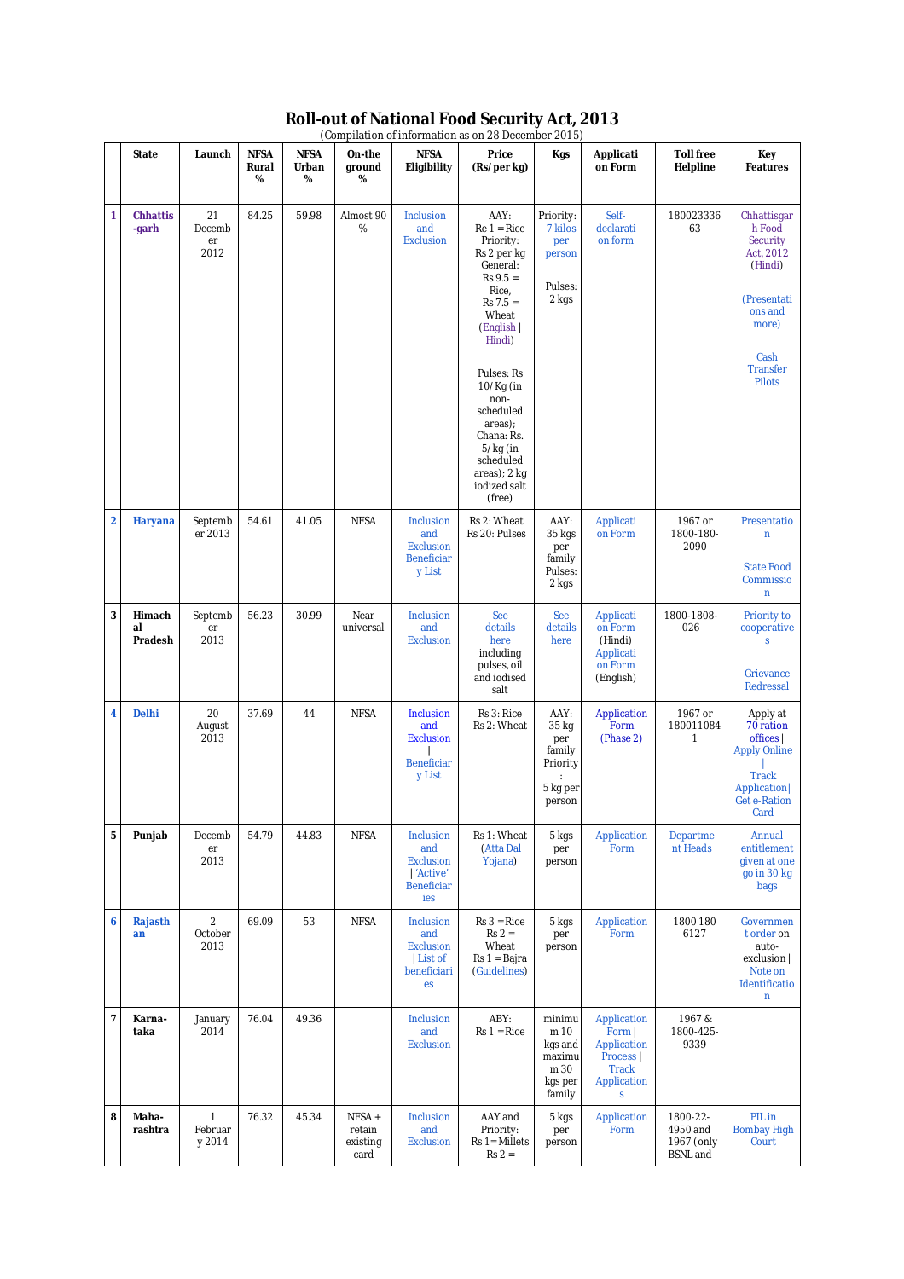| (Compilation of information as on 28 December 2015) |                          |                                   |                           |                           |                                     |                                                                                |                                                                                                                                                                                                                                                                                    |                                                                  |                                                                                       |                                                       |                                                                                                                                          |
|-----------------------------------------------------|--------------------------|-----------------------------------|---------------------------|---------------------------|-------------------------------------|--------------------------------------------------------------------------------|------------------------------------------------------------------------------------------------------------------------------------------------------------------------------------------------------------------------------------------------------------------------------------|------------------------------------------------------------------|---------------------------------------------------------------------------------------|-------------------------------------------------------|------------------------------------------------------------------------------------------------------------------------------------------|
|                                                     | <b>State</b>             | Launch                            | <b>NFSA</b><br>Rural<br>% | <b>NFSA</b><br>Urban<br>% | On-the<br>ground<br>%               | <b>NFSA</b><br>Eligibility                                                     | Price<br>(Rs/per kg)                                                                                                                                                                                                                                                               | Kgs                                                              | Applicati<br>on Form                                                                  | <b>Toll free</b><br>Helpline                          | Key<br><b>Features</b>                                                                                                                   |
| 1                                                   | <b>Chhattis</b><br>-garh | 21<br>Decemb<br>er<br>2012        | 84.25                     | 59.98                     | Almost 90<br>%                      | Inclusion<br>and<br><b>Exclusion</b>                                           | AAY:<br>$Re 1 = Ric$ e<br>Priority:<br>Rs 2 per kg<br>General:<br>$Rs 9.5 =$<br>Rice,<br>$Rs 7.5 =$<br>Wheat<br>(English  <br>Hindi)<br>Pulses: Rs<br>10/Kg (in<br>non-<br>scheduled<br>areas);<br>Chana: Rs.<br>$5/kg$ (in<br>scheduled<br>areas); 2 kg<br>iodized salt<br>(free) | Priority:<br>7 kilos<br>per<br>person<br>Pulses:<br>2 kgs        | Self-<br>declarati<br>on form                                                         | 180023336<br>63                                       | Chhattisgar<br>h Food<br>Security<br>Act, 2012<br>(Hindi)<br>(Presentati<br>ons and<br>more)<br>Cash<br><b>Transfer</b><br><b>Pilots</b> |
| $\overline{\mathbf{2}}$                             | Haryana                  | Septemb<br>er 2013                | 54.61                     | 41.05                     | <b>NFSA</b>                         | Inclusion<br>and<br><b>Exclusion</b><br><b>Beneficiar</b><br>y List            | Rs 2: Wheat<br>Rs 20: Pulses                                                                                                                                                                                                                                                       | AAY:<br>35 kgs<br>per<br>family<br>Pulses:<br>2 kgs              | Applicati<br>on Form                                                                  | 1967 or<br>1800-180-<br>2090                          | Presentatio<br>n<br><b>State Food</b><br>Commissio<br>n                                                                                  |
| 3                                                   | Himach<br>al<br>Pradesh  | Septemb<br>er<br>2013             | 56.23                     | 30.99                     | Near<br>universal                   | Inclusion<br>and<br><b>Exclusion</b>                                           | See<br>details<br>here<br>including<br>pulses, oil<br>and iodised<br>salt                                                                                                                                                                                                          | See<br>details<br>here                                           | Applicati<br>on Form<br>(Hindi)<br>Applicati<br>on Form<br>(English)                  | 1800-1808-<br>026                                     | Priority to<br>cooperative<br>S<br>Grievance<br>Redressal                                                                                |
| 4                                                   | <b>Delhi</b>             | 20<br>August<br>2013              | 37.69                     | 44                        | <b>NFSA</b>                         | Inclusion<br>and<br><b>Exclusion</b><br><b>Beneficiar</b><br>y List            | Rs 3: Rice<br>Rs 2: Wheat                                                                                                                                                                                                                                                          | AAY:<br>35 kg<br>per<br>family<br>Priority<br>5 kg per<br>person | Application<br>Form<br>(Phase 2)                                                      | 1967 or<br>180011084<br>1                             | Apply at<br>70 ration<br>offices  <br><b>Apply Online</b><br><b>Track</b><br>Application<br><b>Get e-Ration</b><br>Card                  |
| 5                                                   | Punjab                   | Decemb<br>er<br>2013              | 54.79                     | 44.83                     | <b>NFSA</b>                         | Inclusion<br>and<br><b>Exclusion</b><br>  'Active'<br><b>Beneficiar</b><br>ies | Rs 1: Wheat<br>(Atta Dal<br>Yojana)                                                                                                                                                                                                                                                | 5 kgs<br>per<br>person                                           | Application<br>Form                                                                   | Departme<br>nt Heads                                  | Annual<br>entitlement<br>given at one<br>go in 30 kg<br>bags                                                                             |
| 6                                                   | Rajasth<br>an            | $\overline{2}$<br>October<br>2013 | 69.09                     | 53                        | <b>NFSA</b>                         | Inclusion<br>and<br><b>Exclusion</b><br>List of<br>beneficiari<br>es           | $Rs 3 = Rice$<br>$Rs 2 =$<br>Wheat<br>Rs 1 = Bajra<br>(Guidelines)                                                                                                                                                                                                                 | 5 kgs<br>per<br>person                                           | Application<br>Form                                                                   | 1800 180<br>6127                                      | Governmen<br>t order on<br>auto-<br>exclusion  <br>Note on<br>Identificatio<br>n                                                         |
| 7                                                   | Karna-<br>taka           | January<br>2014                   | 76.04                     | 49.36                     |                                     | Inclusion<br>and<br><b>Exclusion</b>                                           | ABY:<br>$Rs 1 = Rice$                                                                                                                                                                                                                                                              | minimu<br>m 10<br>kgs and<br>maximu<br>m 30<br>kgs per<br>family | Application<br>Form  <br>Application<br>Process  <br><b>Track</b><br>Application<br>S | 1967&<br>1800-425-<br>9339                            |                                                                                                                                          |
| 8                                                   | Maha-<br>rashtra         | 1<br>Februar<br>y 2014            | 76.32                     | 45.34                     | NFSA+<br>retain<br>existing<br>card | Inclusion<br>and<br><b>Exclusion</b>                                           | AAY and<br>Priority:<br>Rs 1= Millets<br>$Rs 2 =$                                                                                                                                                                                                                                  | 5 kgs<br>per<br>person                                           | Application<br>Form                                                                   | 1800-22-<br>4950 and<br>1967 (only<br><b>BSNL</b> and | PIL in<br><b>Bombay High</b><br>Court                                                                                                    |

## **Roll-out of National Food Security Act, 2013**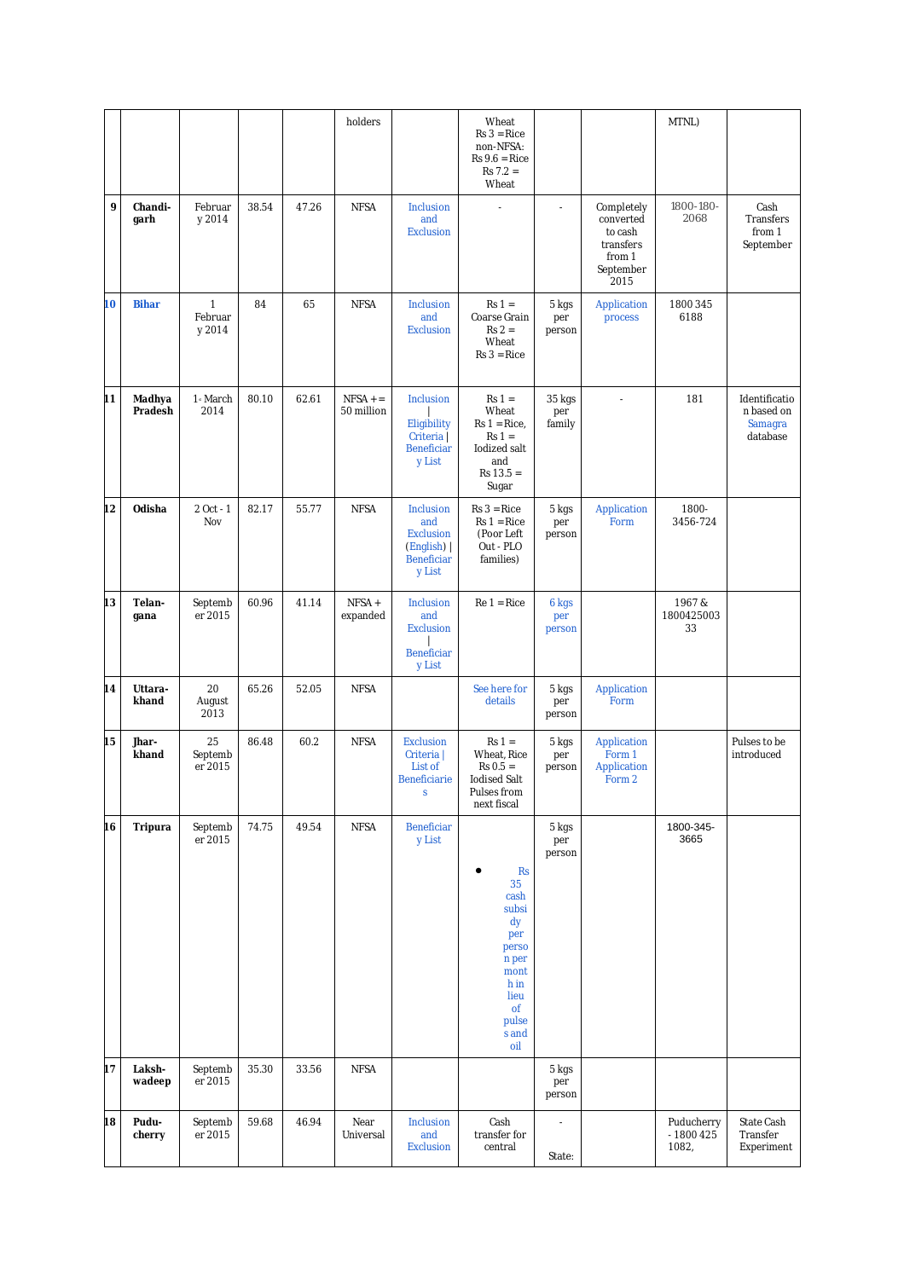|    |                   |                                   |       |       | holders                 |                                                                                    | Wheat<br>$Rs 3 = Rice$<br>non-NFSA:<br>$Rs 9.6 = Rice$<br>$Rs 7.2 =$<br>Wheat                                          |                          |                                                                                | MTNL)                             |                                                    |
|----|-------------------|-----------------------------------|-------|-------|-------------------------|------------------------------------------------------------------------------------|------------------------------------------------------------------------------------------------------------------------|--------------------------|--------------------------------------------------------------------------------|-----------------------------------|----------------------------------------------------|
| 9  | Chandi-<br>garh   | Februar<br>y 2014                 | 38.54 | 47.26 | <b>NFSA</b>             | Inclusion<br>and<br><b>Exclusion</b>                                               | $\overline{a}$                                                                                                         | $\overline{a}$           | Completely<br>converted<br>to cash<br>transfers<br>from 1<br>September<br>2015 | 1800-180-<br>2068                 | Cash<br>Transfers<br>from 1<br>September           |
| 10 | <b>Bihar</b>      | $\mathbf{1}$<br>Februar<br>y 2014 | 84    | 65    | <b>NFSA</b>             | Inclusion<br>and<br><b>Exclusion</b>                                               | $Rs 1 =$<br>Coarse Grain<br>$Rs 2 =$<br>Wheat<br>$Rs 3 = Rice$                                                         | 5 kgs<br>per<br>person   | Application<br>process                                                         | 1800 345<br>6188                  |                                                    |
| 11 | Madhya<br>Pradesh | 1 <sup>s</sup> March<br>2014      | 80.10 | 62.61 | $NFSA +=$<br>50 million | Inclusion<br>Eligibility<br>Criteria  <br><b>Beneficiar</b><br>y List              | $Rs 1 =$<br>Wheat<br>$Rs 1 = Rice,$<br>$Rs 1 =$<br>lodized salt<br>and<br>$Rs 13.5 =$<br>Sugar                         | 35 kgs<br>per<br>family  | $\overline{\phantom{a}}$                                                       | 181                               | Identificatio<br>n based on<br>Samagra<br>database |
| 12 | Odisha            | 2 Oct - 1<br>Nov                  | 82.17 | 55.77 | <b>NFSA</b>             | Inclusion<br>and<br><b>Exclusion</b><br>(English)  <br><b>Beneficiar</b><br>y List | $Rs 3 = Rice$<br>$Rs 1 = Rice$<br>(Poor Left<br>Out - PLO<br>families)                                                 | 5 kgs<br>per<br>person   | Application<br>Form                                                            | 1800-<br>3456-724                 |                                                    |
| 13 | Telan-<br>gana    | Septemb<br>er 2015                | 60.96 | 41.14 | NFSA +<br>expanded      | Inclusion<br>and<br><b>Exclusion</b><br><b>Beneficiar</b><br>y List                | $Re 1 = Ric$ e                                                                                                         | 6 kgs<br>per<br>person   |                                                                                | 1967&<br>1800425003<br>33         |                                                    |
| 14 | Uttara-<br>khand  | 20<br>August<br>2013              | 65.26 | 52.05 | <b>NFSA</b>             |                                                                                    | See here for<br>details                                                                                                | 5 kgs<br>per<br>person   | Application<br>Form                                                            |                                   |                                                    |
| 15 | Jhar-<br>khand    | 25<br>Septemb<br>er 2015          | 86.48 | 60.2  | <b>NFSA</b>             | <b>Exclusion</b><br>Criteria  <br>List of<br><b>Beneficiarie</b><br><sub>S</sub>   | $Rs 1 =$<br>Wheat, Rice<br>$Rs 0.5 =$<br><b>Iodised Salt</b><br>Pulses from<br>next fiscal                             | 5 kgs<br>per<br>person   | Application<br>Form 1<br>Application<br>Form 2                                 |                                   | Pulses to be<br>introduced                         |
| 16 | Tripura           | Septemb<br>er 2015                | 74.75 | 49.54 | <b>NFSA</b>             | <b>Beneficiar</b><br>y List                                                        | <b>Rs</b><br>35<br>cash<br>subsi<br>dy<br>per<br>perso<br>n per<br>mont<br>h in<br>lieu<br>of<br>pulse<br>s and<br>oil | 5 kgs<br>per<br>person   |                                                                                | 1800-345-<br>3665                 |                                                    |
| 17 | Laksh-<br>wadeep  | Septemb<br>er 2015                | 35.30 | 33.56 | <b>NFSA</b>             |                                                                                    |                                                                                                                        | 5 kgs<br>per<br>person   |                                                                                |                                   |                                                    |
| 18 | Pudu-<br>cherry   | Septemb<br>er 2015                | 59.68 | 46.94 | Near<br>Universal       | Inclusion<br>and<br><b>Exclusion</b>                                               | Cash<br>transfer for<br>central                                                                                        | $\overline{a}$<br>State: |                                                                                | Puducherry<br>- 1800 425<br>1082, | State Cash<br>Transfer<br>Experiment               |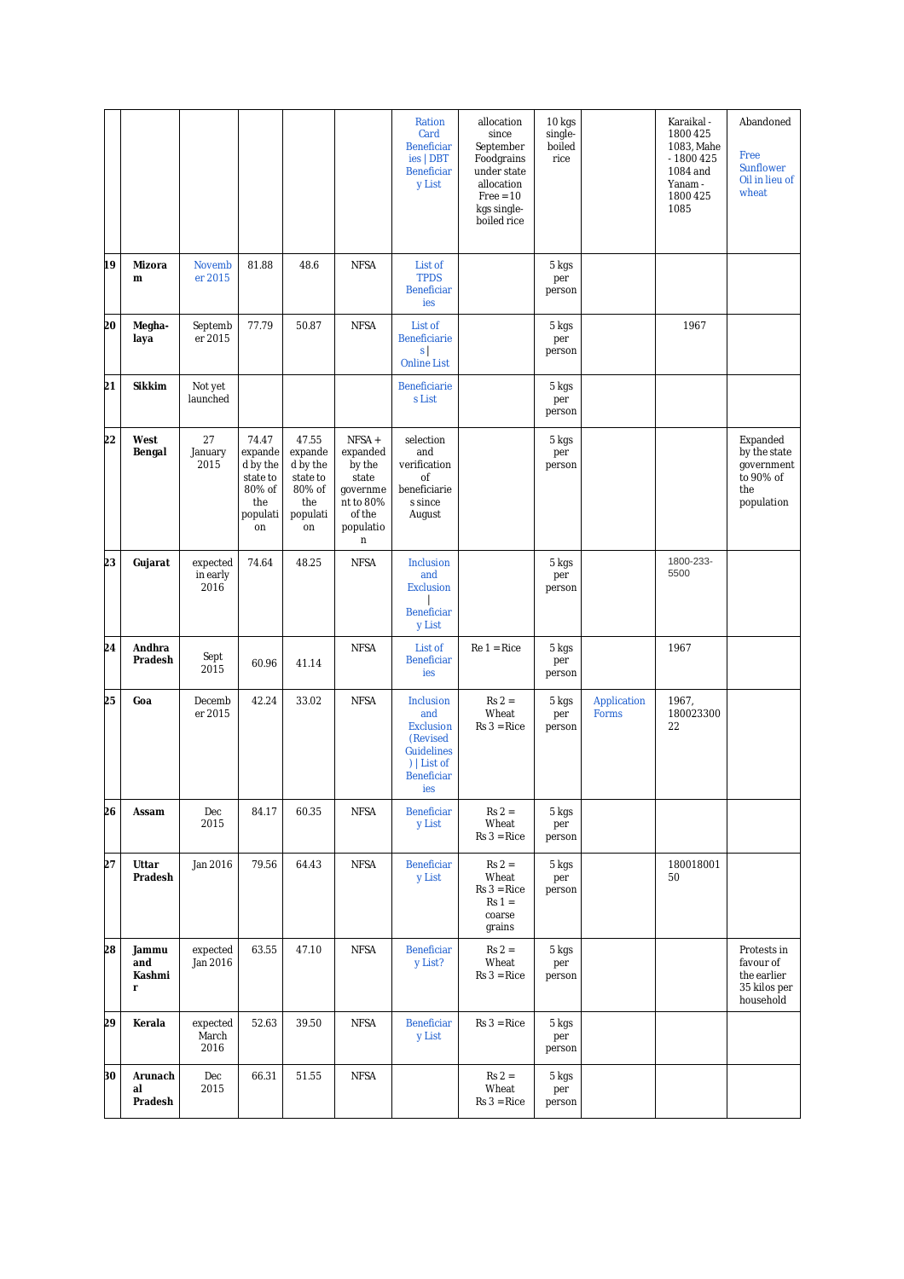|    |                             |                              |                                                                             |                                                                             |                                                                                            | Ration<br>Card<br><b>Beneficiar</b><br>ies   DBT<br><b>Beneficiar</b><br>y List                                  | allocation<br>since<br>September<br>Foodgrains<br>under state<br>allocation<br>$Free = 10$<br>kgs single-<br>boiled rice | 10 kgs<br>single-<br>boiled<br>rice |                      | Karaikal -<br>1800 425<br>1083, Mahe<br>$-1800425$<br>1084 and<br>Yanam -<br>1800 425<br>1085 | Abandoned<br>Free<br>Sunflower<br>Oil in lieu of<br>wheat                |
|----|-----------------------------|------------------------------|-----------------------------------------------------------------------------|-----------------------------------------------------------------------------|--------------------------------------------------------------------------------------------|------------------------------------------------------------------------------------------------------------------|--------------------------------------------------------------------------------------------------------------------------|-------------------------------------|----------------------|-----------------------------------------------------------------------------------------------|--------------------------------------------------------------------------|
| 19 | Mizora<br>m                 | <b>Novemb</b><br>er 2015     | 81.88                                                                       | 48.6                                                                        | <b>NFSA</b>                                                                                | List of<br><b>TPDS</b><br><b>Beneficiar</b><br>ies                                                               |                                                                                                                          | 5 kgs<br>per<br>person              |                      |                                                                                               |                                                                          |
| 20 | Megha-<br>laya              | Septemb<br>er 2015           | 77.79                                                                       | 50.87                                                                       | <b>NFSA</b>                                                                                | List of<br><b>Beneficiarie</b><br>s<br><b>Online List</b>                                                        |                                                                                                                          | 5 kgs<br>per<br>person              |                      | 1967                                                                                          |                                                                          |
| 21 | <b>Sikkim</b>               | Not yet<br>launched          |                                                                             |                                                                             |                                                                                            | Beneficiarie<br>s List                                                                                           |                                                                                                                          | 5 kgs<br>per<br>person              |                      |                                                                                               |                                                                          |
| 22 | West<br>Bengal              | 27<br>January<br>2015        | 74.47<br>expande<br>d by the<br>state to<br>80% of<br>the<br>populati<br>on | 47.55<br>expande<br>d by the<br>state to<br>80% of<br>the<br>populati<br>on | NFSA +<br>expanded<br>by the<br>state<br>governme<br>nt to 80%<br>of the<br>populatio<br>n | selection<br>and<br>verification<br>of<br>beneficiarie<br>s since<br>August                                      |                                                                                                                          | 5 kgs<br>per<br>person              |                      |                                                                                               | Expanded<br>by the state<br>government<br>to 90% of<br>the<br>population |
| 23 | Gujarat                     | expected<br>in early<br>2016 | 74.64                                                                       | 48.25                                                                       | <b>NFSA</b>                                                                                | Inclusion<br>and<br><b>Exclusion</b><br>Beneficiar<br>y List                                                     |                                                                                                                          | 5 kgs<br>per<br>person              |                      | 1800-233-<br>5500                                                                             |                                                                          |
| 24 | Andhra<br>Pradesh           | Sept<br>2015                 | 60.96                                                                       | 41.14                                                                       | <b>NFSA</b>                                                                                | List of<br><b>Beneficiar</b><br>ies                                                                              | $Re 1 = Ric$ e                                                                                                           | 5 kgs<br>per<br>person              |                      | 1967                                                                                          |                                                                          |
| 25 | Goa                         | Decemb<br>er 2015            | 42.24                                                                       | 33.02                                                                       | <b>NFSA</b>                                                                                | Inclusion<br>and<br><b>Exclusion</b><br>(Revised<br><b>Guidelines</b><br>)   List of<br><b>Beneficiar</b><br>ies | $Rs 2 =$<br>Wheat<br>$Rs 3 = Rice$                                                                                       | 5 kgs<br>per<br>person              | Application<br>Forms | 1967,<br>180023300<br>22                                                                      |                                                                          |
| 26 | Assam                       | Dec<br>2015                  | 84.17                                                                       | 60.35                                                                       | <b>NFSA</b>                                                                                | Beneficiar<br>y List                                                                                             | $Rs 2 =$<br>Wheat<br>$Rs 3 = Rice$                                                                                       | 5 kgs<br>per<br>person              |                      |                                                                                               |                                                                          |
| 27 | Uttar<br>Pradesh            | Jan 2016                     | 79.56                                                                       | 64.43                                                                       | <b>NFSA</b>                                                                                | Beneficiar<br>y List                                                                                             | $Rs 2 =$<br>Wheat<br>$Rs 3 = Rice$<br>$Rs 1 =$<br>coarse<br>grains                                                       | 5 kgs<br>per<br>person              |                      | 180018001<br>50                                                                               |                                                                          |
| 28 | Jammu<br>and<br>Kashmi<br>r | expected<br>Jan 2016         | 63.55                                                                       | 47.10                                                                       | <b>NFSA</b>                                                                                | <b>Beneficiar</b><br>y List?                                                                                     | $Rs 2 =$<br>Wheat<br>$Rs 3 = Rice$                                                                                       | 5 kgs<br>per<br>person              |                      |                                                                                               | Protests in<br>favour of<br>the earlier<br>35 kilos per<br>household     |
| 29 | Kerala                      | expected<br>March<br>2016    | 52.63                                                                       | 39.50                                                                       | <b>NFSA</b>                                                                                | Beneficiar<br>y List                                                                                             | $Rs 3 = Rice$                                                                                                            | 5 kgs<br>per<br>person              |                      |                                                                                               |                                                                          |
| 30 | Arunach<br>al<br>Pradesh    | Dec<br>2015                  | 66.31                                                                       | 51.55                                                                       | <b>NFSA</b>                                                                                |                                                                                                                  | $Rs 2 =$<br>Wheat<br>$Rs 3 = Rice$                                                                                       | 5 kgs<br>per<br>person              |                      |                                                                                               |                                                                          |